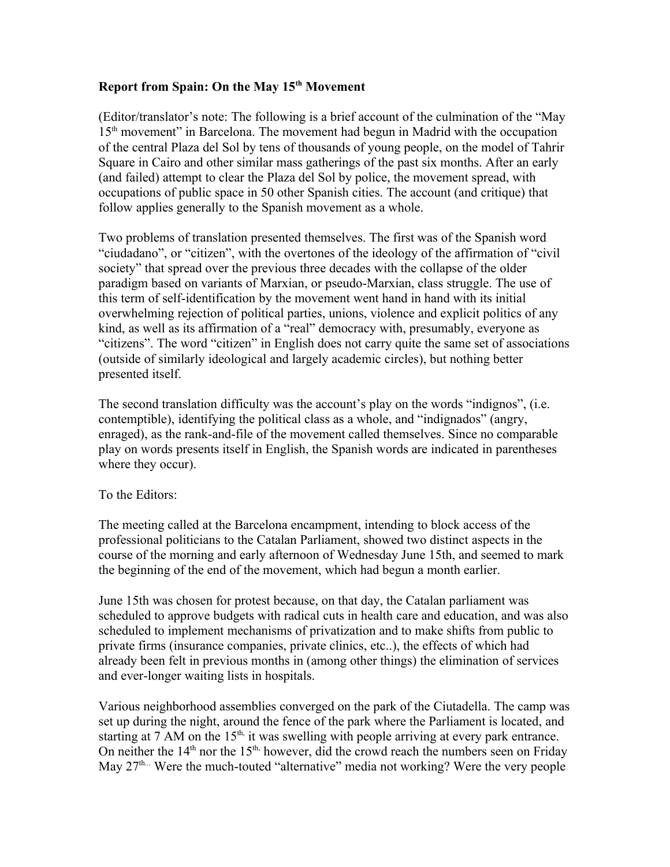## **Report from Spain: On the May 15th Movement**

(Editor/translator's note: The following is a brief account of the culmination of the "May 15th movement" in Barcelona. The movement had begun in Madrid with the occupation of the central Plaza del Sol by tens of thousands of young people, on the model of Tahrir Square in Cairo and other similar mass gatherings of the past six months. After an early (and failed) attempt to clear the Plaza del Sol by police, the movement spread, with occupations of public space in 50 other Spanish cities. The account (and critique) that follow applies generally to the Spanish movement as a whole.

Two problems of translation presented themselves. The first was of the Spanish word "ciudadano", or "citizen", with the overtones of the ideology of the affirmation of "civil society" that spread over the previous three decades with the collapse of the older paradigm based on variants of Marxian, or pseudo-Marxian, class struggle. The use of this term of self-identification by the movement went hand in hand with its initial overwhelming rejection of political parties, unions, violence and explicit politics of any kind, as well as its affirmation of a "real" democracy with, presumably, everyone as "citizens". The word "citizen" in English does not carry quite the same set of associations (outside of similarly ideological and largely academic circles), but nothing better presented itself.

The second translation difficulty was the account's play on the words "indignos", (i.e. contemptible), identifying the political class as a whole, and "indignados" (angry, enraged), as the rank-and-file of the movement called themselves. Since no comparable play on words presents itself in English, the Spanish words are indicated in parentheses where they occur).

## To the Editors:

The meeting called at the Barcelona encampment, intending to block access of the professional politicians to the Catalan Parliament, showed two distinct aspects in the course of the morning and early afternoon of Wednesday June 15th, and seemed to mark the beginning of the end of the movement, which had begun a month earlier.

June 15th was chosen for protest because, on that day, the Catalan parliament was scheduled to approve budgets with radical cuts in health care and education, and was also scheduled to implement mechanisms of privatization and to make shifts from public to private firms (insurance companies, private clinics, etc..), the effects of which had already been felt in previous months in (among other things) the elimination of services and ever-longer waiting lists in hospitals.

Various neighborhood assemblies converged on the park of the Ciutadella. The camp was set up during the night, around the fence of the park where the Parliament is located, and starting at 7 AM on the  $15<sup>th</sup>$ , it was swelling with people arriving at every park entrance. On neither the  $14<sup>th</sup>$  nor the  $15<sup>th</sup>$ , however, did the crowd reach the numbers seen on Friday May  $27<sup>th...</sup>$  Were the much-touted "alternative" media not working? Were the very people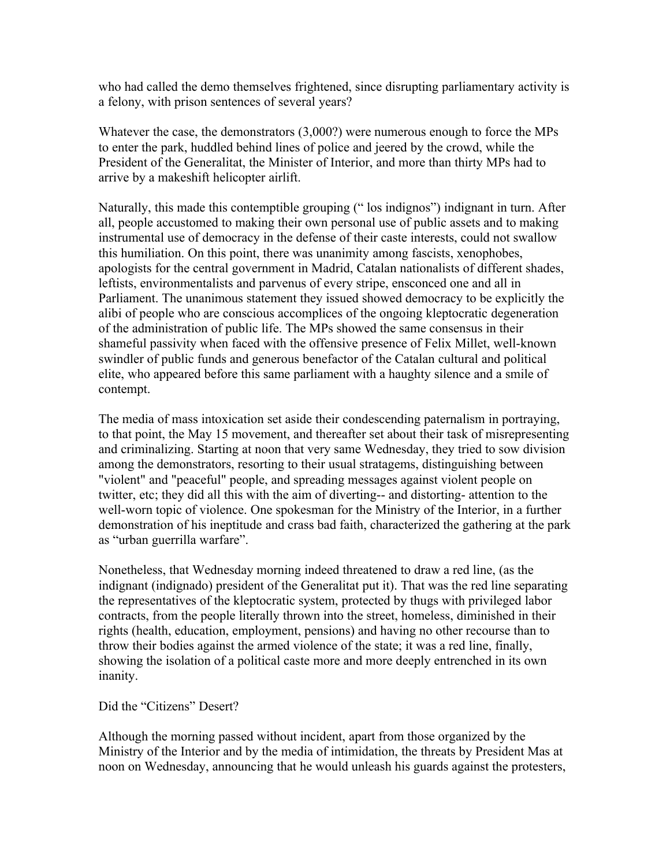who had called the demo themselves frightened, since disrupting parliamentary activity is a felony, with prison sentences of several years?

Whatever the case, the demonstrators (3,000?) were numerous enough to force the MPs to enter the park, huddled behind lines of police and jeered by the crowd, while the President of the Generalitat, the Minister of Interior, and more than thirty MPs had to arrive by a makeshift helicopter airlift.

Naturally, this made this contemptible grouping (" los indignos") indignant in turn. After all, people accustomed to making their own personal use of public assets and to making instrumental use of democracy in the defense of their caste interests, could not swallow this humiliation. On this point, there was unanimity among fascists, xenophobes, apologists for the central government in Madrid, Catalan nationalists of different shades, leftists, environmentalists and parvenus of every stripe, ensconced one and all in Parliament. The unanimous statement they issued showed democracy to be explicitly the alibi of people who are conscious accomplices of the ongoing kleptocratic degeneration of the administration of public life. The MPs showed the same consensus in their shameful passivity when faced with the offensive presence of Felix Millet, well-known swindler of public funds and generous benefactor of the Catalan cultural and political elite, who appeared before this same parliament with a haughty silence and a smile of contempt.

The media of mass intoxication set aside their condescending paternalism in portraying, to that point, the May 15 movement, and thereafter set about their task of misrepresenting and criminalizing. Starting at noon that very same Wednesday, they tried to sow division among the demonstrators, resorting to their usual stratagems, distinguishing between "violent" and "peaceful" people, and spreading messages against violent people on twitter, etc; they did all this with the aim of diverting-- and distorting- attention to the well-worn topic of violence. One spokesman for the Ministry of the Interior, in a further demonstration of his ineptitude and crass bad faith, characterized the gathering at the park as "urban guerrilla warfare".

Nonetheless, that Wednesday morning indeed threatened to draw a red line, (as the indignant (indignado) president of the Generalitat put it). That was the red line separating the representatives of the kleptocratic system, protected by thugs with privileged labor contracts, from the people literally thrown into the street, homeless, diminished in their rights (health, education, employment, pensions) and having no other recourse than to throw their bodies against the armed violence of the state; it was a red line, finally, showing the isolation of a political caste more and more deeply entrenched in its own inanity.

Did the "Citizens" Desert?

Although the morning passed without incident, apart from those organized by the Ministry of the Interior and by the media of intimidation, the threats by President Mas at noon on Wednesday, announcing that he would unleash his guards against the protesters,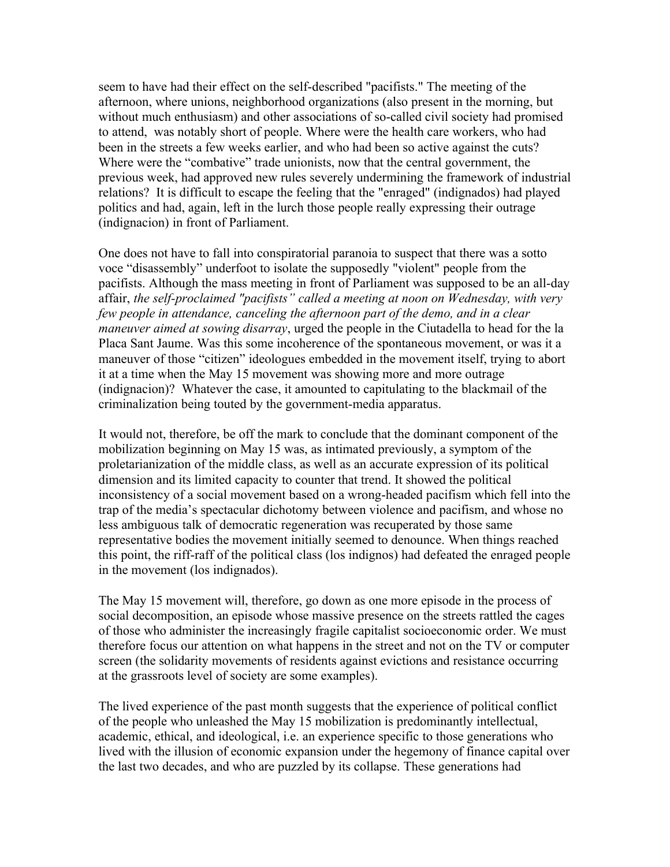seem to have had their effect on the self-described "pacifists." The meeting of the afternoon, where unions, neighborhood organizations (also present in the morning, but without much enthusiasm) and other associations of so-called civil society had promised to attend, was notably short of people. Where were the health care workers, who had been in the streets a few weeks earlier, and who had been so active against the cuts? Where were the "combative" trade unionists, now that the central government, the previous week, had approved new rules severely undermining the framework of industrial relations? It is difficult to escape the feeling that the "enraged" (indignados) had played politics and had, again, left in the lurch those people really expressing their outrage (indignacion) in front of Parliament.

One does not have to fall into conspiratorial paranoia to suspect that there was a sotto voce "disassembly" underfoot to isolate the supposedly "violent" people from the pacifists. Although the mass meeting in front of Parliament was supposed to be an all-day affair, *the self-proclaimed "pacifists" called a meeting at noon on Wednesday, with very few people in attendance, canceling the afternoon part of the demo, and in a clear maneuver aimed at sowing disarray*, urged the people in the Ciutadella to head for the la Placa Sant Jaume. Was this some incoherence of the spontaneous movement, or was it a maneuver of those "citizen" ideologues embedded in the movement itself, trying to abort it at a time when the May 15 movement was showing more and more outrage (indignacion)? Whatever the case, it amounted to capitulating to the blackmail of the criminalization being touted by the government-media apparatus.

It would not, therefore, be off the mark to conclude that the dominant component of the mobilization beginning on May 15 was, as intimated previously, a symptom of the proletarianization of the middle class, as well as an accurate expression of its political dimension and its limited capacity to counter that trend. It showed the political inconsistency of a social movement based on a wrong-headed pacifism which fell into the trap of the media's spectacular dichotomy between violence and pacifism, and whose no less ambiguous talk of democratic regeneration was recuperated by those same representative bodies the movement initially seemed to denounce. When things reached this point, the riff-raff of the political class (los indignos) had defeated the enraged people in the movement (los indignados).

The May 15 movement will, therefore, go down as one more episode in the process of social decomposition, an episode whose massive presence on the streets rattled the cages of those who administer the increasingly fragile capitalist socioeconomic order. We must therefore focus our attention on what happens in the street and not on the TV or computer screen (the solidarity movements of residents against evictions and resistance occurring at the grassroots level of society are some examples).

The lived experience of the past month suggests that the experience of political conflict of the people who unleashed the May 15 mobilization is predominantly intellectual, academic, ethical, and ideological, i.e. an experience specific to those generations who lived with the illusion of economic expansion under the hegemony of finance capital over the last two decades, and who are puzzled by its collapse. These generations had